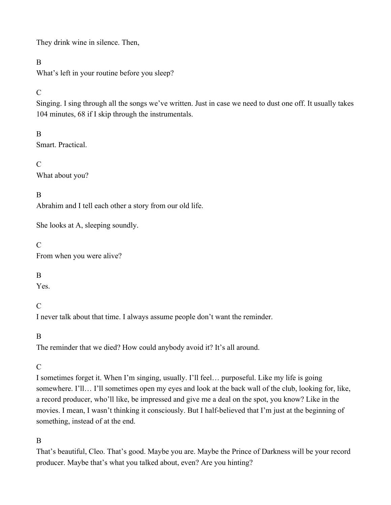They drink wine in silence. Then,

## B

What's left in your routine before you sleep?

### $\mathcal{C}$

Singing. I sing through all the songs we've written. Just in case we need to dust one off. It usually takes 104 minutes, 68 if I skip through the instrumentals.

### B

Smart. Practical.

C What about you?

## B

Abrahim and I tell each other a story from our old life.

She looks at A, sleeping soundly.

# C

From when you were alive?

### B

Yes.

### $\overline{C}$

I never talk about that time. I always assume people don't want the reminder.

### B

The reminder that we died? How could anybody avoid it? It's all around.

### $\overline{C}$

I sometimes forget it. When I'm singing, usually. I'll feel… purposeful. Like my life is going somewhere. I'll… I'll sometimes open my eyes and look at the back wall of the club, looking for, like, a record producer, who'll like, be impressed and give me a deal on the spot, you know? Like in the movies. I mean, I wasn't thinking it consciously. But I half-believed that I'm just at the beginning of something, instead of at the end.

### B

That's beautiful, Cleo. That's good. Maybe you are. Maybe the Prince of Darkness will be your record producer. Maybe that's what you talked about, even? Are you hinting?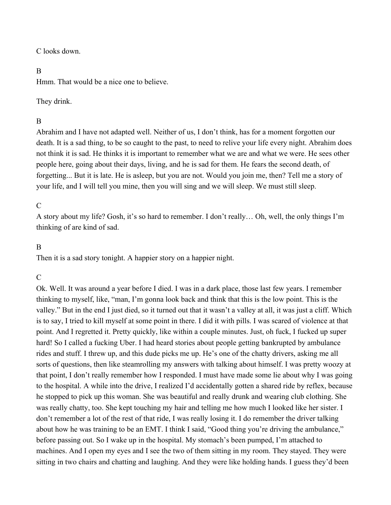C looks down.

#### B

Hmm. That would be a nice one to believe.

They drink.

#### B

Abrahim and I have not adapted well. Neither of us, I don't think, has for a moment forgotten our death. It is a sad thing, to be so caught to the past, to need to relive your life every night. Abrahim does not think it is sad. He thinks it is important to remember what we are and what we were. He sees other people here, going about their days, living, and he is sad for them. He fears the second death, of forgetting... But it is late. He is asleep, but you are not. Would you join me, then? Tell me a story of your life, and I will tell you mine, then you will sing and we will sleep. We must still sleep.

#### $\mathcal{C}$

A story about my life? Gosh, it's so hard to remember. I don't really… Oh, well, the only things I'm thinking of are kind of sad.

#### B

Then it is a sad story tonight. A happier story on a happier night.

#### C

Ok. Well. It was around a year before I died. I was in a dark place, those last few years. I remember thinking to myself, like, "man, I'm gonna look back and think that this is the low point. This is the valley." But in the end I just died, so it turned out that it wasn't a valley at all, it was just a cliff. Which is to say, I tried to kill myself at some point in there. I did it with pills. I was scared of violence at that point. And I regretted it. Pretty quickly, like within a couple minutes. Just, oh fuck, I fucked up super hard! So I called a fucking Uber. I had heard stories about people getting bankrupted by ambulance rides and stuff. I threw up, and this dude picks me up. He's one of the chatty drivers, asking me all sorts of questions, then like steamrolling my answers with talking about himself. I was pretty woozy at that point, I don't really remember how I responded. I must have made some lie about why I was going to the hospital. A while into the drive, I realized I'd accidentally gotten a shared ride by reflex, because he stopped to pick up this woman. She was beautiful and really drunk and wearing club clothing. She was really chatty, too. She kept touching my hair and telling me how much I looked like her sister. I don't remember a lot of the rest of that ride, I was really losing it. I do remember the driver talking about how he was training to be an EMT. I think I said, "Good thing you're driving the ambulance," before passing out. So I wake up in the hospital. My stomach's been pumped, I'm attached to machines. And I open my eyes and I see the two of them sitting in my room. They stayed. They were sitting in two chairs and chatting and laughing. And they were like holding hands. I guess they'd been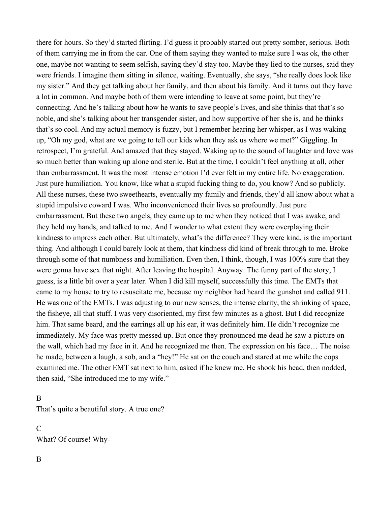there for hours. So they'd started flirting. I'd guess it probably started out pretty somber, serious. Both of them carrying me in from the car. One of them saying they wanted to make sure I was ok, the other one, maybe not wanting to seem selfish, saying they'd stay too. Maybe they lied to the nurses, said they were friends. I imagine them sitting in silence, waiting. Eventually, she says, "she really does look like my sister." And they get talking about her family, and then about his family. And it turns out they have a lot in common. And maybe both of them were intending to leave at some point, but they're connecting. And he's talking about how he wants to save people's lives, and she thinks that that's so noble, and she's talking about her transgender sister, and how supportive of her she is, and he thinks that's so cool. And my actual memory is fuzzy, but I remember hearing her whisper, as I was waking up, "Oh my god, what are we going to tell our kids when they ask us where we met?" Giggling. In retrospect, I'm grateful. And amazed that they stayed. Waking up to the sound of laughter and love was so much better than waking up alone and sterile. But at the time, I couldn't feel anything at all, other than embarrassment. It was the most intense emotion I'd ever felt in my entire life. No exaggeration. Just pure humiliation. You know, like what a stupid fucking thing to do, you know? And so publicly. All these nurses, these two sweethearts, eventually my family and friends, they'd all know about what a stupid impulsive coward I was. Who inconvenienced their lives so profoundly. Just pure embarrassment. But these two angels, they came up to me when they noticed that I was awake, and they held my hands, and talked to me. And I wonder to what extent they were overplaying their kindness to impress each other. But ultimately, what's the difference? They were kind, is the important thing. And although I could barely look at them, that kindness did kind of break through to me. Broke through some of that numbness and humiliation. Even then, I think, though, I was 100% sure that they were gonna have sex that night. After leaving the hospital. Anyway. The funny part of the story, I guess, is a little bit over a year later. When I did kill myself, successfully this time. The EMTs that came to my house to try to resuscitate me, because my neighbor had heard the gunshot and called 911. He was one of the EMTs. I was adjusting to our new senses, the intense clarity, the shrinking of space, the fisheye, all that stuff. I was very disoriented, my first few minutes as a ghost. But I did recognize him. That same beard, and the earrings all up his ear, it was definitely him. He didn't recognize me immediately. My face was pretty messed up. But once they pronounced me dead he saw a picture on the wall, which had my face in it. And he recognized me then. The expression on his face… The noise he made, between a laugh, a sob, and a "hey!" He sat on the couch and stared at me while the cops examined me. The other EMT sat next to him, asked if he knew me. He shook his head, then nodded, then said, "She introduced me to my wife."

#### B

That's quite a beautiful story. A true one?

C What? Of course! Why-

#### B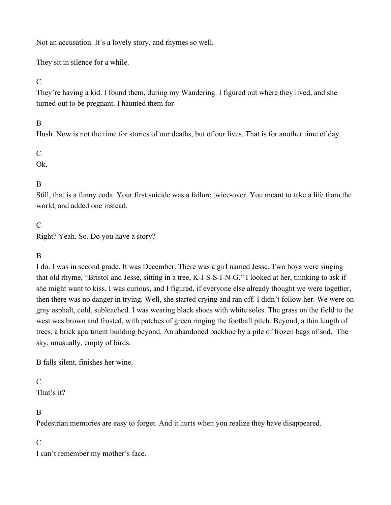Not an accusation. It's a lovely story, and rhymes so well.

They sit in silence for a while.

### $\overline{C}$

They're having a kid. I found them, during my Wandering. I figured out where they lived, and she turned out to be pregnant. I haunted them for-

### B

Hush. Now is not the time for stories of our deaths, but of our lives. That is for another time of day.

#### $\mathcal{C}$

Ok.

### B

Still, that is a funny coda. Your first suicide was a failure twice-over. You meant to take a life from the world, and added one instead.

#### $\overline{C}$

Right? Yeah. So. Do you have a story?

#### B

I do. I was in second grade. It was December. There was a girl named Jesse. Two boys were singing that old rhyme, "Bristol and Jesse, sitting in a tree, K-I-S-S-I-N-G." I looked at her, thinking to ask if she might want to kiss. I was curious, and I figured, if everyone else already thought we were together, then there was no danger in trying. Well, she started crying and ran off. I didn't follow her. We were on gray asphalt, cold, subleached. I was wearing black shoes with white soles. The grass on the field to the west was brown and frosted, with patches of green ringing the football pitch. Beyond, a thin length of trees, a brick apartment building beyond. An abandoned backhoe by a pile of frozen bags of sod. The sky, unusually, empty of birds.

B falls silent, finishes her wine.

#### $\mathcal{C}$

That's it?

### B

Pedestrian memories are easy to forget. And it hurts when you realize they have disappeared.

#### C

I can't remember my mother's face.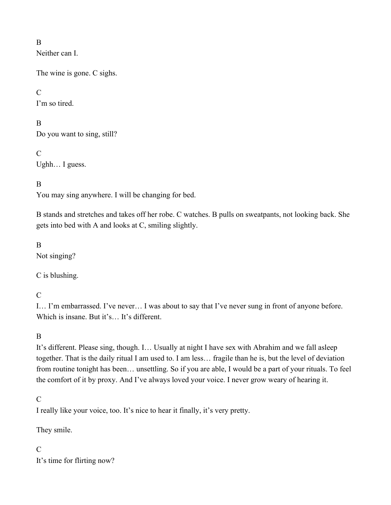# B

Neither can I.

The wine is gone. C sighs.

# $\mathcal{C}$

I'm so tired.

# B

Do you want to sing, still?

## $\mathcal{C}$

Ughh… I guess.

# B

You may sing anywhere. I will be changing for bed.

B stands and stretches and takes off her robe. C watches. B pulls on sweatpants, not looking back. She gets into bed with A and looks at C, smiling slightly.

### B

Not singing?

C is blushing.

## $\mathcal{C}$

I… I'm embarrassed. I've never… I was about to say that I've never sung in front of anyone before. Which is insane. But it's… It's different.

### B

It's different. Please sing, though. I… Usually at night I have sex with Abrahim and we fall asleep together. That is the daily ritual I am used to. I am less… fragile than he is, but the level of deviation from routine tonight has been… unsettling. So if you are able, I would be a part of your rituals. To feel the comfort of it by proxy. And I've always loved your voice. I never grow weary of hearing it.

### C

I really like your voice, too. It's nice to hear it finally, it's very pretty.

They smile.

### $\mathcal{C}$

It's time for flirting now?